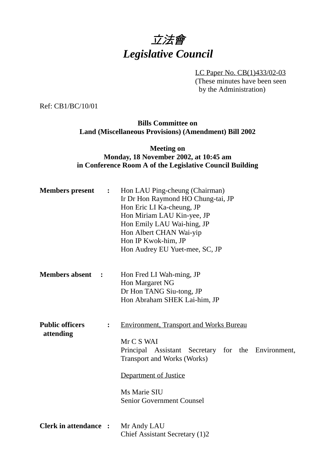

LC Paper No. CB(1)433/02-03 (These minutes have been seen by the Administration)

Ref: CB1/BC/10/01

#### **Bills Committee on Land (Miscellaneous Provisions) (Amendment) Bill 2002**

### **Meeting on Monday, 18 November 2002, at 10:45 am in Conference Room A of the Legislative Council Building**

| <b>Members</b> present              | $\ddot{\bullet}$ | Hon LAU Ping-cheung (Chairman)<br>Ir Dr Hon Raymond HO Chung-tai, JP<br>Hon Eric LI Ka-cheung, JP<br>Hon Miriam LAU Kin-yee, JP<br>Hon Emily LAU Wai-hing, JP<br>Hon Albert CHAN Wai-yip<br>Hon IP Kwok-him, JP<br>Hon Audrey EU Yuet-mee, SC, JP |
|-------------------------------------|------------------|---------------------------------------------------------------------------------------------------------------------------------------------------------------------------------------------------------------------------------------------------|
| <b>Members absent</b>               | $\ddot{\cdot}$   | Hon Fred LI Wah-ming, JP<br>Hon Margaret NG<br>Dr Hon TANG Siu-tong, JP<br>Hon Abraham SHEK Lai-him, JP                                                                                                                                           |
| <b>Public officers</b><br>attending | :                | <b>Environment, Transport and Works Bureau</b><br>Mr C S WAI<br>Principal Assistant Secretary for the Environment,<br><b>Transport and Works (Works)</b><br><b>Department of Justice</b><br>Ms Marie SIU<br><b>Senior Government Counsel</b>      |
| <b>Clerk in attendance :</b>        |                  | Mr Andy LAU<br>Chief Assistant Secretary (1)2                                                                                                                                                                                                     |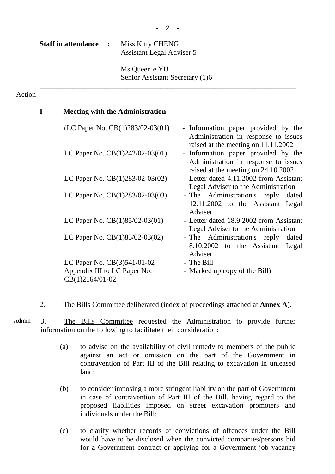$- 2 -$ 

**Staff in attendance :** Miss Kitty CHENG Assistant Legal Adviser 5

> Ms Queenie YU Senior Assistant Secretary (1)6

\_\_\_\_\_\_\_\_\_\_\_\_\_\_\_\_\_\_\_\_\_\_\_\_\_\_\_\_\_\_\_\_\_\_\_\_\_\_\_\_\_\_\_\_\_\_\_\_\_\_\_\_\_\_\_\_\_\_\_\_\_\_\_\_\_\_\_\_\_\_

# Action

| <b>Meeting with the Administration</b> |                                                                                                                    |
|----------------------------------------|--------------------------------------------------------------------------------------------------------------------|
| (LC Paper No. $CB(1)283/02-03(01)$ )   | - Information paper provided by the<br>Administration in response to issues<br>raised at the meeting on 11.11.2002 |
| LC Paper No. $CB(1)242/02-03(01)$      | - Information paper provided by the<br>Administration in response to issues<br>raised at the meeting on 24.10.2002 |
| LC Paper No. $CB(1)283/02-03(02)$      | - Letter dated 4.11.2002 from Assistant<br>Legal Adviser to the Administration                                     |
| LC Paper No. $CB(1)283/02-03(03)$      | - The Administration's reply<br>dated<br>12.11.2002 to the Assistant Legal<br>Adviser                              |
| LC Paper No. $CB(1)85/02-03(01)$       | - Letter dated 18.9.2002 from Assistant<br>Legal Adviser to the Administration                                     |
| LC Paper No. $CB(1)85/02-03(02)$       | - The Administration's reply<br>dated<br>8.10.2002 to the Assistant Legal<br>Adviser                               |
| LC Paper No. $CB(3)541/01-02$          | - The Bill                                                                                                         |
| Appendix III to LC Paper No.           | - Marked up copy of the Bill)                                                                                      |
| CB(1)2164/01-02                        |                                                                                                                    |

2. The Bills Committee deliberated (index of proceedings attached at **Annex A**).

- Admin 3. The Bills Committee requested the Administration to provide further information on the following to facilitate their consideration:
	- (a) to advise on the availability of civil remedy to members of the public against an act or omission on the part of the Government in contravention of Part III of the Bill relating to excavation in unleased land;
	- (b) to consider imposing a more stringent liability on the part of Government in case of contravention of Part III of the Bill, having regard to the proposed liabilities imposed on street excavation promoters and individuals under the Bill;
	- (c) to clarify whether records of convictions of offences under the Bill would have to be disclosed when the convicted companies/persons bid for a Government contract or applying for a Government job vacancy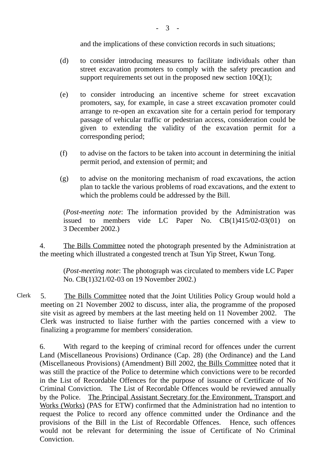and the implications of these conviction records in such situations;

- (d) to consider introducing measures to facilitate individuals other than street excavation promoters to comply with the safety precaution and support requirements set out in the proposed new section  $10O(1)$ :
- (e) to consider introducing an incentive scheme for street excavation promoters, say, for example, in case a street excavation promoter could arrange to re-open an excavation site for a certain period for temporary passage of vehicular traffic or pedestrian access, consideration could be given to extending the validity of the excavation permit for a corresponding period;
- (f) to advise on the factors to be taken into account in determining the initial permit period, and extension of permit; and
- (g) to advise on the monitoring mechanism of road excavations, the action plan to tackle the various problems of road excavations, and the extent to which the problems could be addressed by the Bill.

(*Post-meeting note*: The information provided by the Administration was issued to members vide LC Paper No. CB(1)415/02-03(01) on 3 December 2002.)

4. The Bills Committee noted the photograph presented by the Administration at the meeting which illustrated a congested trench at Tsun Yip Street, Kwun Tong.

(*Post-meeting note*: The photograph was circulated to members vide LC Paper No. CB(1)321/02-03 on 19 November 2002.)

Clerk 5. The Bills Committee noted that the Joint Utilities Policy Group would hold a meeting on 21 November 2002 to discuss, inter alia, the programme of the proposed site visit as agreed by members at the last meeting held on 11 November 2002. The Clerk was instructed to liaise further with the parties concerned with a view to finalizing a programme for members' consideration.

6. With regard to the keeping of criminal record for offences under the current Land (Miscellaneous Provisions) Ordinance (Cap. 28) (the Ordinance) and the Land (Miscellaneous Provisions) (Amendment) Bill 2002, the Bills Committee noted that it was still the practice of the Police to determine which convictions were to be recorded in the List of Recordable Offences for the purpose of issuance of Certificate of No Criminal Conviction. The List of Recordable Offences would be reviewed annually by the Police. The Principal Assistant Secretary for the Environment, Transport and Works (Works) (PAS for ETW) confirmed that the Administration had no intention to request the Police to record any offence committed under the Ordinance and the provisions of the Bill in the List of Recordable Offences. Hence, such offences would not be relevant for determining the issue of Certificate of No Criminal Conviction.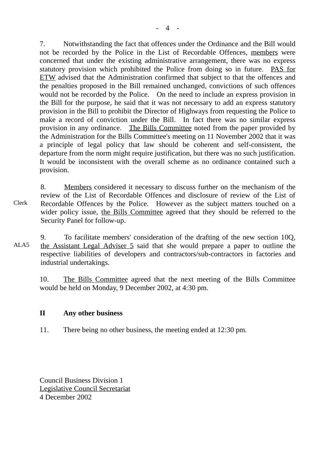7. Notwithstanding the fact that offences under the Ordinance and the Bill would not be recorded by the Police in the List of Recordable Offences, members were concerned that under the existing administrative arrangement, there was no express statutory provision which prohibited the Police from doing so in future. PAS for ETW advised that the Administration confirmed that subject to that the offences and the penalties proposed in the Bill remained unchanged, convictions of such offences would not be recorded by the Police. On the need to include an express provision in the Bill for the purpose, he said that it was not necessary to add an express statutory provision in the Bill to prohibit the Director of Highways from requesting the Police to make a record of conviction under the Bill. In fact there was no similar express provision in any ordinance. The Bills Committee noted from the paper provided by the Administration for the Bills Committee's meeting on 11 November 2002 that it was a principle of legal policy that law should be coherent and self-consistent, the departure from the norm might require justification, but there was no such justification. It would be inconsistent with the overall scheme as no ordinance contained such a provision.

8. Members considered it necessary to discuss further on the mechanism of the review of the List of Recordable Offences and disclosure of review of the List of Recordable Offences by the Police. However as the subject matters touched on a wider policy issue, the Bills Committee agreed that they should be referred to the Security Panel for follow-up.

ALA5 9. To facilitate members' consideration of the drafting of the new section 10Q, the Assistant Legal Adviser 5 said that she would prepare a paper to outline the respective liabilities of developers and contractors/sub-contractors in factories and industrial undertakings.

10. The Bills Committee agreed that the next meeting of the Bills Committee would be held on Monday, 9 December 2002, at 4:30 pm.

## **II Any other business**

11. There being no other business, the meeting ended at 12:30 pm.

Council Business Division 1 Legislative Council Secretariat 4 December 2002

Clerk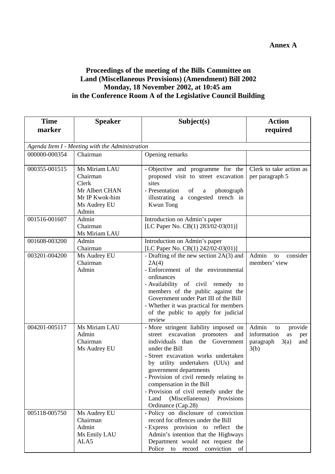## **Proceedings of the meeting of the Bills Committee on Land (Miscellaneous Provisions) (Amendment) Bill 2002 Monday, 18 November 2002, at 10:45 am in the Conference Room A of the Legislative Council Building**

| <b>Time</b>                                     | <b>Speaker</b>                                                                                  | Subject(s)                                                                                                                                                                                                                                                                                                                                                                                                            | <b>Action</b>                                                                          |  |  |  |
|-------------------------------------------------|-------------------------------------------------------------------------------------------------|-----------------------------------------------------------------------------------------------------------------------------------------------------------------------------------------------------------------------------------------------------------------------------------------------------------------------------------------------------------------------------------------------------------------------|----------------------------------------------------------------------------------------|--|--|--|
| marker                                          |                                                                                                 |                                                                                                                                                                                                                                                                                                                                                                                                                       | required                                                                               |  |  |  |
| Agenda Item I - Meeting with the Administration |                                                                                                 |                                                                                                                                                                                                                                                                                                                                                                                                                       |                                                                                        |  |  |  |
| 000000-000354                                   | Chairman                                                                                        | Opening remarks                                                                                                                                                                                                                                                                                                                                                                                                       |                                                                                        |  |  |  |
| 000355-001515                                   | Ms Miriam LAU<br>Chairman<br>Clerk<br>Mr Albert CHAN<br>Mr IP Kwok-him<br>Ms Audrey EU<br>Admin | - Objective and programme for the<br>proposed visit to street excavation<br>sites<br>- Presentation<br>of<br>photograph<br>a<br>illustrating a congested trench in<br>Kwun Tong                                                                                                                                                                                                                                       | Clerk to take action as<br>per paragraph 5                                             |  |  |  |
| 001516-001607                                   | Admin<br>Chairman<br>Ms Miriam LAU                                                              | Introduction on Admin's paper<br>[LC Paper No. CB(1) 283/02-03(01)]                                                                                                                                                                                                                                                                                                                                                   |                                                                                        |  |  |  |
| 001608-003200                                   | Admin<br>Chairman                                                                               | Introduction on Admin's paper<br>[LC Paper No. CB(1) 242/02-03(01)]                                                                                                                                                                                                                                                                                                                                                   |                                                                                        |  |  |  |
| 003201-004200                                   | Ms Audrey EU<br>Chairman<br>Admin                                                               | - Drafting of the new section $2A(3)$ and<br>2A(4)<br>- Enforcement of the environmental<br>ordinances<br>- Availability of civil remedy to<br>members of the public against the<br>Government under Part III of the Bill<br>- Whether it was practical for members<br>of the public to apply for judicial<br>review                                                                                                  | Admin<br>consider<br>to<br>members' view                                               |  |  |  |
| 004201-005117                                   | Ms Miriam LAU<br>Admin<br>Chairman<br>Ms Audrey EU                                              | - More stringent liability imposed on<br>street excavation promoters<br>and<br>individuals than the Government<br>under the Bill<br>- Street excavation works undertaken<br>by utility undertakers (UUs) and<br>government departments<br>- Provision of civil remedy relating to<br>compensation in the Bill<br>- Provision of civil remedy under the<br>(Miscellaneous)<br>Provisions<br>Land<br>Ordinance (Cap.28) | Admin<br>provide<br>to<br>information<br>as<br>per<br>paragraph<br>3(a)<br>and<br>3(b) |  |  |  |
| 005118-005750                                   | Ms Audrey EU<br>Chairman<br>Admin<br>Ms Emily LAU<br>ALA5                                       | - Policy on disclosure of conviction<br>record for offences under the Bill<br>- Express provision to reflect the<br>Admin's intention that the Highways<br>Department would not request the<br>Police<br>to<br>record<br>conviction<br>of                                                                                                                                                                             |                                                                                        |  |  |  |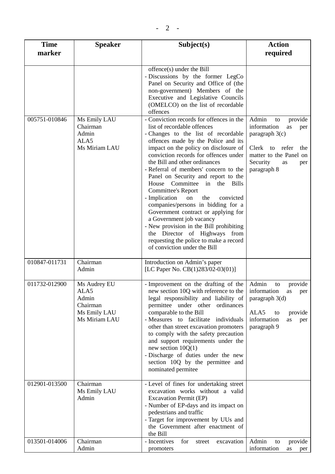| <b>Time</b><br>marker | <b>Speaker</b>                                                             | Subject(s)                                                                                                                                                                                                                                                                                                                                                                                                                                                                                                                                                                                                                                                                                                                                   | <b>Action</b><br>required                                                                                                                                            |
|-----------------------|----------------------------------------------------------------------------|----------------------------------------------------------------------------------------------------------------------------------------------------------------------------------------------------------------------------------------------------------------------------------------------------------------------------------------------------------------------------------------------------------------------------------------------------------------------------------------------------------------------------------------------------------------------------------------------------------------------------------------------------------------------------------------------------------------------------------------------|----------------------------------------------------------------------------------------------------------------------------------------------------------------------|
|                       |                                                                            | offence(s) under the Bill<br>- Discussions by the former LegCo<br>Panel on Security and Office of (the<br>non-government) Members of the<br>Executive and Legislative Councils<br>(OMELCO) on the list of recordable<br>offences                                                                                                                                                                                                                                                                                                                                                                                                                                                                                                             |                                                                                                                                                                      |
| 005751-010846         | Ms Emily LAU<br>Chairman<br>Admin<br>ALA5<br>Ms Miriam LAU                 | - Conviction records for offences in the<br>list of recordable offences<br>- Changes to the list of recordable<br>offences made by the Police and its<br>impact on the policy on disclosure of<br>conviction records for offences under<br>the Bill and other ordinances<br>- Referral of members' concern to the<br>Panel on Security and report to the<br>House Committee in the<br>Bills<br><b>Committee's Report</b><br>- Implication<br>the<br>$\,$ on $\,$<br>convicted<br>companies/persons in bidding for a<br>Government contract or applying for<br>a Government job vacancy<br>- New provision in the Bill prohibiting<br>the Director of Highways from<br>requesting the police to make a record<br>of conviction under the Bill | Admin<br>provide<br>to<br>information<br>as<br>per<br>paragraph $3(c)$<br>Clerk<br>to refer<br>the<br>matter to the Panel on<br>Security<br>as<br>per<br>paragraph 8 |
| 010847-011731         | Chairman<br>Admin                                                          | Introduction on Admin's paper<br>[LC Paper No. $CB(1)283/02-03(01)$ ]                                                                                                                                                                                                                                                                                                                                                                                                                                                                                                                                                                                                                                                                        |                                                                                                                                                                      |
| 011732-012900         | Ms Audrey EU<br>ALA5<br>Admin<br>Chairman<br>Ms Emily LAU<br>Ms Miriam LAU | - Improvement on the drafting of the<br>new section 10Q with reference to the   information<br>legal responsibility and liability of<br>permittee under other ordinances<br>comparable to the Bill<br>- Measures to facilitate individuals<br>other than street excavation promoters<br>to comply with the safety precaution<br>and support requirements under the<br>new section $10Q(1)$<br>- Discharge of duties under the new<br>section 10Q by the permittee and<br>nominated permitee                                                                                                                                                                                                                                                  | Admin<br>provide<br>to<br>as per<br>paragraph $3(d)$<br>ALA5<br>provide<br>to<br>information<br>as<br>per<br>paragraph 9                                             |
| 012901-013500         | Chairman<br>Ms Emily LAU<br>Admin                                          | - Level of fines for undertaking street<br>excavation works without a valid<br><b>Excavation Permit (EP)</b><br>- Number of EP-days and its impact on<br>pedestrians and traffic<br>- Target for improvement by UUs and<br>the Government after enactment of<br>the Bill                                                                                                                                                                                                                                                                                                                                                                                                                                                                     |                                                                                                                                                                      |

- Incentives for street excavation

Admin to provide information as per

promoters

013501-014006 Chairman

Admin